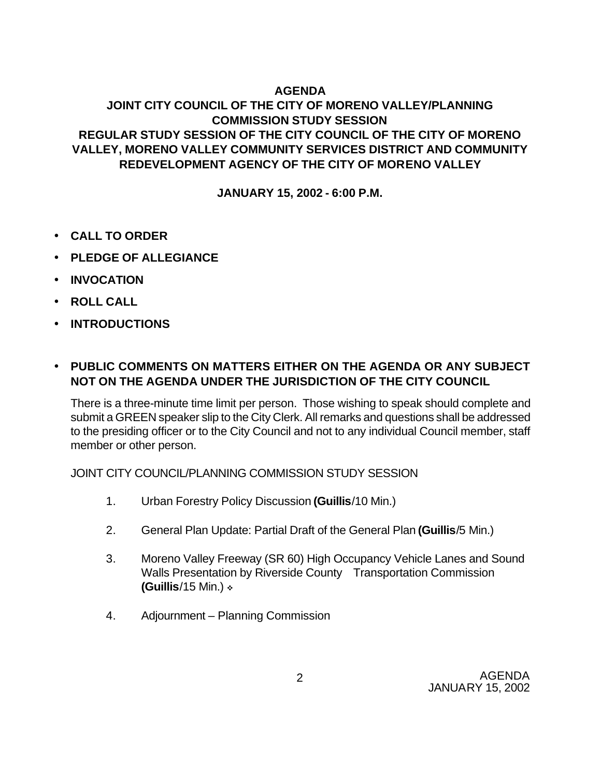## **AGENDA**

# **JOINT CITY COUNCIL OF THE CITY OF MORENO VALLEY/PLANNING COMMISSION STUDY SESSION REGULAR STUDY SESSION OF THE CITY COUNCIL OF THE CITY OF MORENO VALLEY, MORENO VALLEY COMMUNITY SERVICES DISTRICT AND COMMUNITY REDEVELOPMENT AGENCY OF THE CITY OF MORENO VALLEY**

**JANUARY 15, 2002 - 6:00 P.M.**

- **CALL TO ORDER**
- **PLEDGE OF ALLEGIANCE**
- **INVOCATION**
- **ROLL CALL**
- **INTRODUCTIONS**

## • **PUBLIC COMMENTS ON MATTERS EITHER ON THE AGENDA OR ANY SUBJECT NOT ON THE AGENDA UNDER THE JURISDICTION OF THE CITY COUNCIL**

There is a three-minute time limit per person. Those wishing to speak should complete and submit a GREEN speaker slip to the City Clerk. All remarks and questions shall be addressed to the presiding officer or to the City Council and not to any individual Council member, staff member or other person.

JOINT CITY COUNCIL/PLANNING COMMISSION STUDY SESSION

- 1. Urban Forestry Policy Discussion **(Guillis**/10 Min.)
- 2. General Plan Update: Partial Draft of the General Plan **(Guillis**/5 Min.)
- 3. Moreno Valley Freeway (SR 60) High Occupancy Vehicle Lanes and Sound Walls Presentation by Riverside County Transportation Commission **(Guillis/15 Min.) \***
- 4. Adjournment Planning Commission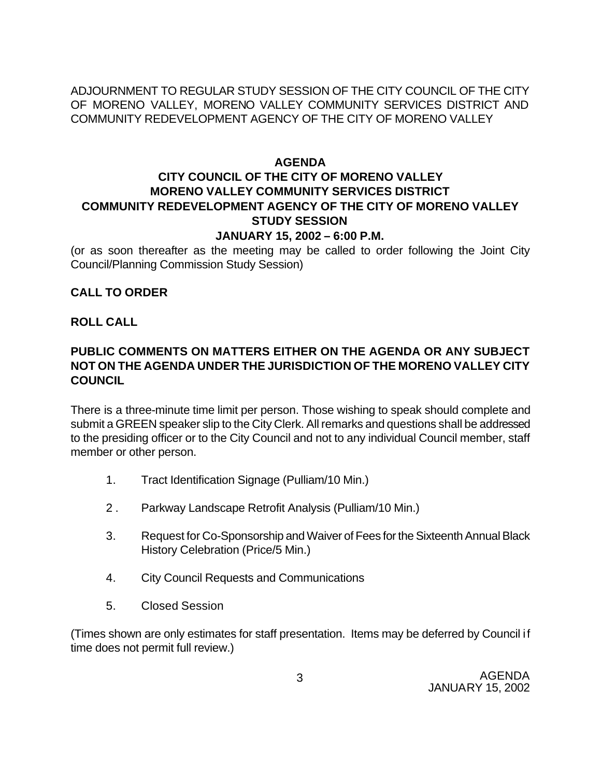ADJOURNMENT TO REGULAR STUDY SESSION OF THE CITY COUNCIL OF THE CITY OF MORENO VALLEY, MORENO VALLEY COMMUNITY SERVICES DISTRICT AND COMMUNITY REDEVELOPMENT AGENCY OF THE CITY OF MORENO VALLEY

#### **AGENDA**

# **CITY COUNCIL OF THE CITY OF MORENO VALLEY MORENO VALLEY COMMUNITY SERVICES DISTRICT COMMUNITY REDEVELOPMENT AGENCY OF THE CITY OF MORENO VALLEY STUDY SESSION**

#### **JANUARY 15, 2002 – 6:00 P.M.**

(or as soon thereafter as the meeting may be called to order following the Joint City Council/Planning Commission Study Session)

#### **CALL TO ORDER**

#### **ROLL CALL**

### **PUBLIC COMMENTS ON MATTERS EITHER ON THE AGENDA OR ANY SUBJECT NOT ON THE AGENDA UNDER THE JURISDICTION OF THE MORENO VALLEY CITY COUNCIL**

There is a three-minute time limit per person. Those wishing to speak should complete and submit a GREEN speaker slip to the City Clerk. All remarks and questions shall be addressed to the presiding officer or to the City Council and not to any individual Council member, staff member or other person.

- 1. Tract Identification Signage (Pulliam/10 Min.)
- 2 . Parkway Landscape Retrofit Analysis (Pulliam/10 Min.)
- 3. Request for Co-Sponsorship and Waiver of Fees for the Sixteenth Annual Black History Celebration (Price/5 Min.)
- 4. City Council Requests and Communications
- 5. Closed Session

(Times shown are only estimates for staff presentation. Items may be deferred by Council if time does not permit full review.)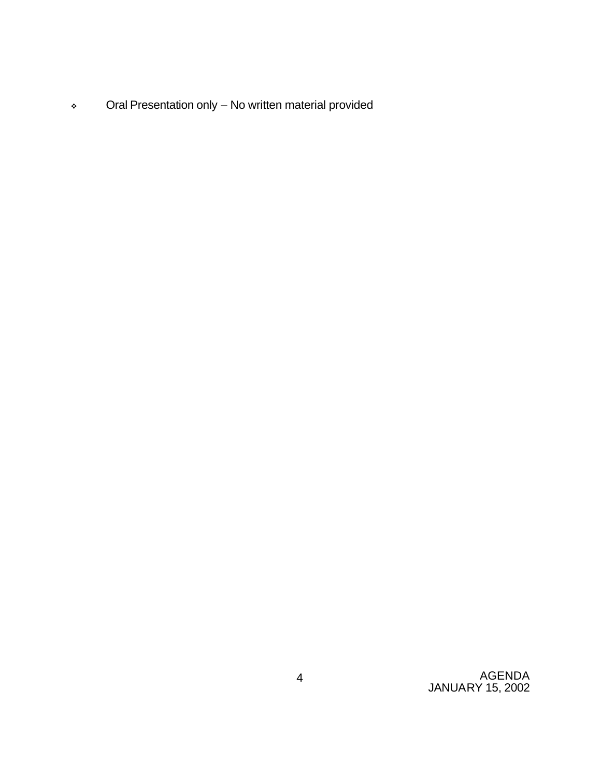<sup>v</sup> Oral Presentation only – No written material provided